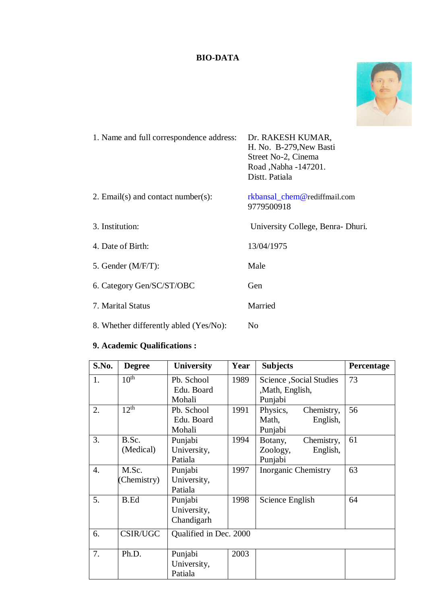# **BIO-DATA**



| 1. Name and full correspondence address: | Dr. RAKESH KUMAR,<br>H. No. B-279, New Basti<br>Street No-2, Cinema<br>Road, Nabha - 147201.<br>Distt. Patiala |
|------------------------------------------|----------------------------------------------------------------------------------------------------------------|
| 2. Email(s) and contact number(s):       | rkbansal_chem@rediffmail.com<br>9779500918                                                                     |
| 3. Institution:                          | University College, Benra-Dhuri.                                                                               |
| 4. Date of Birth:                        | 13/04/1975                                                                                                     |
| 5. Gender (M/F/T):                       | Male                                                                                                           |
| 6. Category Gen/SC/ST/OBC                | Gen                                                                                                            |
| 7. Marital Status                        | Married                                                                                                        |
| 8. Whether differently abled (Yes/No):   | N <sub>0</sub>                                                                                                 |
|                                          |                                                                                                                |

# **9. Academic Qualifications :**

| S.No. | <b>Degree</b>        | <b>University</b>                    | Year | <b>Subjects</b>                                          | Percentage |  |  |
|-------|----------------------|--------------------------------------|------|----------------------------------------------------------|------------|--|--|
| 1.    | $10^{\overline{th}}$ | Pb. School<br>Edu. Board<br>Mohali   | 1989 | Science , Social Studies<br>,Math, English,<br>Punjabi   | 73         |  |  |
| 2.    | 12 <sup>th</sup>     | Pb. School<br>Edu. Board<br>Mohali   | 1991 | Chemistry,<br>Physics,<br>English,<br>Math,<br>Punjabi   | 56         |  |  |
| 3.    | B.Sc.<br>(Medical)   | Punjabi<br>University,<br>Patiala    | 1994 | Chemistry,<br>Botany,<br>Zoology,<br>English,<br>Punjabi | 61         |  |  |
| 4.    | M.Sc.<br>(Chemistry) | Punjabi<br>University,<br>Patiala    | 1997 | <b>Inorganic Chemistry</b>                               | 63         |  |  |
| 5.    | <b>B.Ed</b>          | Punjabi<br>University,<br>Chandigarh | 1998 | Science English                                          | 64         |  |  |
| 6.    | <b>CSIR/UGC</b>      | Qualified in Dec. 2000               |      |                                                          |            |  |  |
| 7.    | Ph.D.                | Punjabi<br>University,<br>Patiala    | 2003 |                                                          |            |  |  |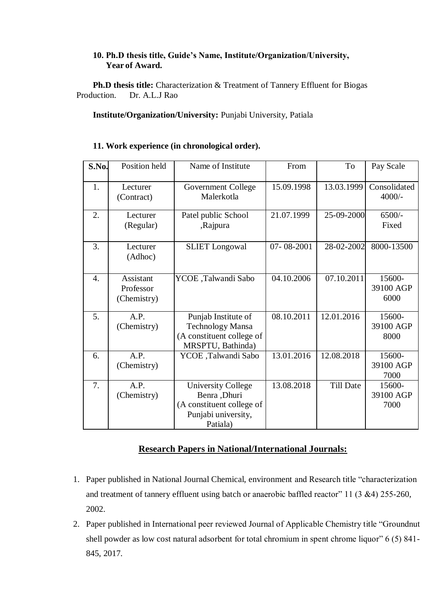#### **10. Ph.D thesis title, Guide's Name, Institute/Organization/University, Year of Award.**

**Ph.D thesis title:** Characterization & Treatment of Tannery Effluent for Biogas Production. Dr. A.L.J Rao

#### **Institute/Organization/University:** Punjabi University, Patiala

#### **11. Work experience (in chronological order).**

| S.No.            | Position held                                | Name of Institute                                                                                          | From       | To               | Pay Scale                   |
|------------------|----------------------------------------------|------------------------------------------------------------------------------------------------------------|------------|------------------|-----------------------------|
| 1.               | Lecturer<br>(Contract)                       | Government College<br>Malerkotla                                                                           | 15.09.1998 | 13.03.1999       | Consolidated<br>$4000/-$    |
| 2.               | Lecturer<br>(Regular)                        | Patel public School<br>,Rajpura                                                                            | 21.07.1999 | 25-09-2000       | $6500/-$<br>Fixed           |
| 3.               | Lecturer<br>(Adhoc)                          | <b>SLIET</b> Longowal                                                                                      | 07-08-2001 | 28-02-2002       | 8000-13500                  |
| $\overline{4}$ . | <b>Assistant</b><br>Professor<br>(Chemistry) | YCOE ,Talwandi Sabo                                                                                        | 04.10.2006 | 07.10.2011       | 15600-<br>39100 AGP<br>6000 |
| 5.               | A.P.<br>(Chemistry)                          | Punjab Institute of<br><b>Technology Mansa</b><br>(A constituent college of<br>MRSPTU, Bathinda)           | 08.10.2011 | 12.01.2016       | 15600-<br>39100 AGP<br>8000 |
| 6.               | A.P.<br>(Chemistry)                          | YCOE ,Talwandi Sabo                                                                                        | 13.01.2016 | 12.08.2018       | 15600-<br>39100 AGP<br>7000 |
| 7.               | A.P.<br>(Chemistry)                          | <b>University College</b><br>Benra , Dhuri<br>(A constituent college of<br>Punjabi university,<br>Patiala) | 13.08.2018 | <b>Till Date</b> | 15600-<br>39100 AGP<br>7000 |

## **Research Papers in National/International Journals:**

- 1. Paper published in National Journal Chemical, environment and Research title "characterization and treatment of tannery effluent using batch or anaerobic baffled reactor" 11 (3 &4) 255-260, 2002.
- 2. Paper published in International peer reviewed Journal of Applicable Chemistry title "Groundnut shell powder as low cost natural adsorbent for total chromium in spent chrome liquor" 6 (5) 841- 845, 2017.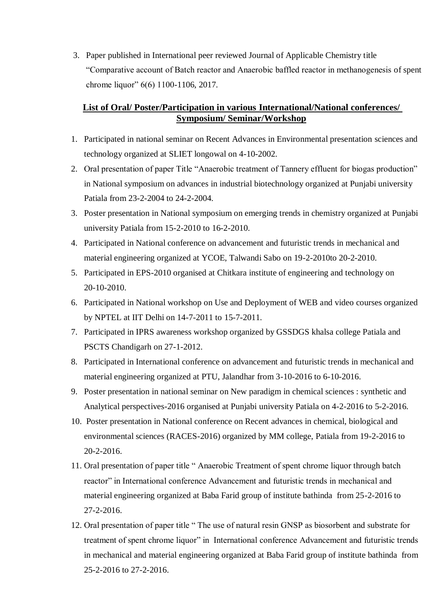3. Paper published in International peer reviewed Journal of Applicable Chemistry title "Comparative account of Batch reactor and Anaerobic baffled reactor in methanogenesis of spent chrome liquor" 6(6) 1100-1106, 2017.

### **List of Oral/ Poster/Participation in various International/National conferences/ Symposium/ Seminar/Workshop**

- 1. Participated in national seminar on Recent Advances in Environmental presentation sciences and technology organized at SLIET longowal on 4-10-2002.
- 2. Oral presentation of paper Title "Anaerobic treatment of Tannery effluent for biogas production" in National symposium on advances in industrial biotechnology organized at Punjabi university Patiala from 23-2-2004 to 24-2-2004.
- 3. Poster presentation in National symposium on emerging trends in chemistry organized at Punjabi university Patiala from 15-2-2010 to 16-2-2010.
- 4. Participated in National conference on advancement and futuristic trends in mechanical and material engineering organized at YCOE, Talwandi Sabo on 19-2-2010to 20-2-2010.
- 5. Participated in EPS-2010 organised at Chitkara institute of engineering and technology on 20-10-2010.
- 6. Participated in National workshop on Use and Deployment of WEB and video courses organized by NPTEL at IIT Delhi on 14-7-2011 to 15-7-2011.
- 7. Participated in IPRS awareness workshop organized by GSSDGS khalsa college Patiala and PSCTS Chandigarh on 27-1-2012.
- 8. Participated in International conference on advancement and futuristic trends in mechanical and material engineering organized at PTU, Jalandhar from 3-10-2016 to 6-10-2016.
- 9. Poster presentation in national seminar on New paradigm in chemical sciences : synthetic and Analytical perspectives-2016 organised at Punjabi university Patiala on 4-2-2016 to 5-2-2016.
- 10. Poster presentation in National conference on Recent advances in chemical, biological and environmental sciences (RACES-2016) organized by MM college, Patiala from 19-2-2016 to 20-2-2016.
- 11. Oral presentation of paper title " Anaerobic Treatment of spent chrome liquor through batch reactor" in International conference Advancement and futuristic trends in mechanical and material engineering organized at Baba Farid group of institute bathinda from 25-2-2016 to 27-2-2016.
- 12. Oral presentation of paper title " The use of natural resin GNSP as biosorbent and substrate for treatment of spent chrome liquor" in International conference Advancement and futuristic trends in mechanical and material engineering organized at Baba Farid group of institute bathinda from 25-2-2016 to 27-2-2016.